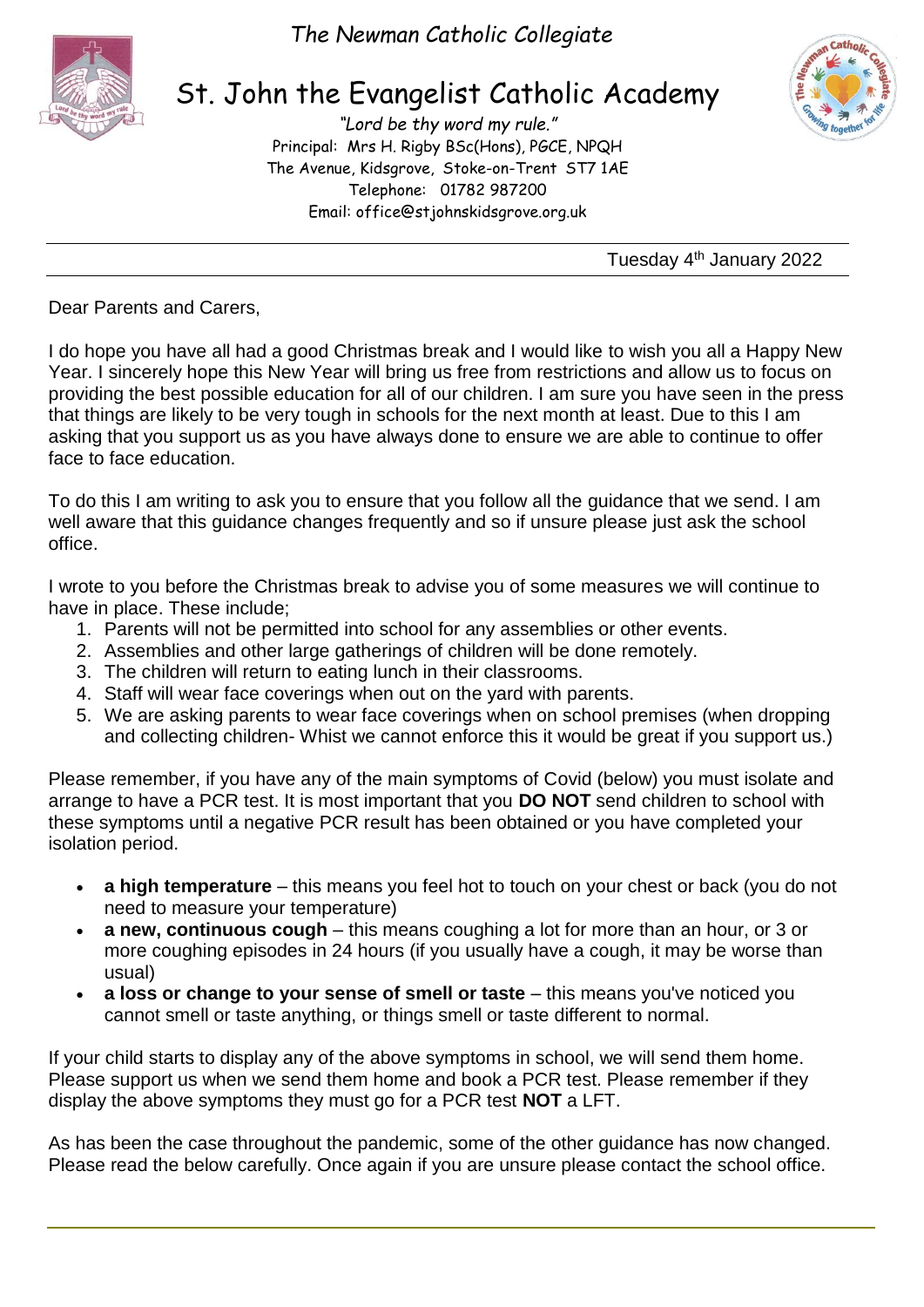



# St. John the Evangelist Catholic Academy

*"Lord be thy word my rule."* Principal: Mrs H. Rigby BSc(Hons), PGCE, NPQH The Avenue, Kidsgrove, Stoke-on-Trent ST7 1AE Telephone: 01782 987200 Email: [office@stjohnskidsgrove.org.uk](mailto:office@stjohnskidsgrove.org.uk)



Tuesday 4<sup>th</sup> January 2022

Dear Parents and Carers,

I do hope you have all had a good Christmas break and I would like to wish you all a Happy New Year. I sincerely hope this New Year will bring us free from restrictions and allow us to focus on providing the best possible education for all of our children. I am sure you have seen in the press that things are likely to be very tough in schools for the next month at least. Due to this I am asking that you support us as you have always done to ensure we are able to continue to offer face to face education.

To do this I am writing to ask you to ensure that you follow all the guidance that we send. I am well aware that this guidance changes frequently and so if unsure please just ask the school office.

I wrote to you before the Christmas break to advise you of some measures we will continue to have in place. These include;

- 1. Parents will not be permitted into school for any assemblies or other events.
- 2. Assemblies and other large gatherings of children will be done remotely.
- 3. The children will return to eating lunch in their classrooms.
- 4. Staff will wear face coverings when out on the yard with parents.
- 5. We are asking parents to wear face coverings when on school premises (when dropping and collecting children- Whist we cannot enforce this it would be great if you support us.)

Please remember, if you have any of the main symptoms of Covid (below) you must isolate and arrange to have a PCR test. It is most important that you **DO NOT** send children to school with these symptoms until a negative PCR result has been obtained or you have completed your isolation period.

- **a high temperature** this means you feel hot to touch on your chest or back (you do not need to measure your temperature)
- **a new, continuous cough** this means coughing a lot for more than an hour, or 3 or more coughing episodes in 24 hours (if you usually have a cough, it may be worse than usual)
- **a loss or change to your sense of smell or taste** this means you've noticed you cannot smell or taste anything, or things smell or taste different to normal.

If your child starts to display any of the above symptoms in school, we will send them home. Please support us when we send them home and book a PCR test. Please remember if they display the above symptoms they must go for a PCR test **NOT** a LFT.

As has been the case throughout the pandemic, some of the other guidance has now changed. Please read the below carefully. Once again if you are unsure please contact the school office.